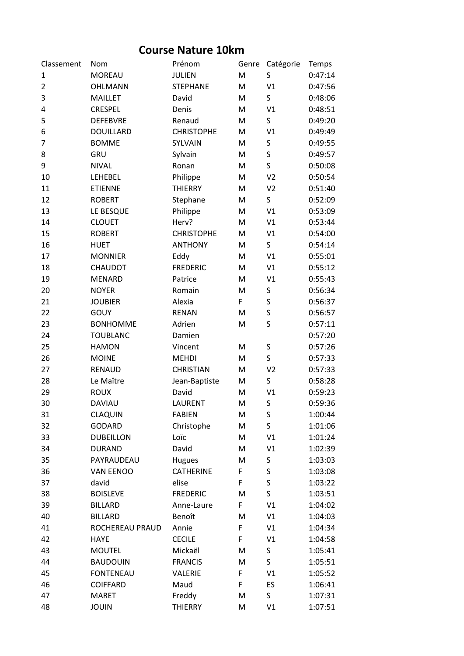## **Course Nature 10km**

| Classement     | Nom              | Prénom            | Genre | Catégorie      | Temps   |
|----------------|------------------|-------------------|-------|----------------|---------|
| 1              | <b>MOREAU</b>    | <b>JULIEN</b>     | M     | S              | 0:47:14 |
| $\overline{2}$ | <b>OHLMANN</b>   | <b>STEPHANE</b>   | M     | V <sub>1</sub> | 0:47:56 |
| 3              | <b>MAILLET</b>   | David             | M     | S              | 0:48:06 |
| 4              | <b>CRESPEL</b>   | Denis             | M     | V <sub>1</sub> | 0:48:51 |
| 5              | <b>DEFEBVRE</b>  | Renaud            | M     | S              | 0:49:20 |
| 6              | <b>DOUILLARD</b> | <b>CHRISTOPHE</b> | M     | V1             | 0:49:49 |
| 7              | <b>BOMME</b>     | SYLVAIN           | M     | S              | 0:49:55 |
| 8              | GRU              | Sylvain           | M     | S              | 0:49:57 |
| 9              | <b>NIVAL</b>     | Ronan             | M     | S              | 0:50:08 |
| 10             | LEHEBEL          | Philippe          | M     | V <sub>2</sub> | 0:50:54 |
| 11             | <b>ETIENNE</b>   | <b>THIERRY</b>    | M     | V <sub>2</sub> | 0:51:40 |
| 12             | <b>ROBERT</b>    | Stephane          | M     | S              | 0:52:09 |
| 13             | LE BESQUE        | Philippe          | M     | V <sub>1</sub> | 0:53:09 |
| 14             | <b>CLOUET</b>    | Herv?             | M     | V1             | 0:53:44 |
| 15             | <b>ROBERT</b>    | <b>CHRISTOPHE</b> | M     | V1             | 0:54:00 |
| 16             | <b>HUET</b>      | <b>ANTHONY</b>    | M     | S              | 0:54:14 |
| 17             | <b>MONNIER</b>   | Eddy              | M     | V1             | 0:55:01 |
| 18             | CHAUDOT          | <b>FREDERIC</b>   | M     | V1             | 0:55:12 |
| 19             | <b>MENARD</b>    | Patrice           | M     | V1             | 0:55:43 |
| 20             | <b>NOYER</b>     | Romain            | M     | S              | 0:56:34 |
| 21             | <b>JOUBIER</b>   | Alexia            | F     | S              | 0:56:37 |
| 22             | <b>GOUY</b>      | <b>RENAN</b>      | M     | S              | 0:56:57 |
| 23             | <b>BONHOMME</b>  | Adrien            | M     | S              | 0:57:11 |
| 24             | <b>TOUBLANC</b>  | Damien            |       |                | 0:57:20 |
| 25             | <b>HAMON</b>     | Vincent           | M     | S              | 0:57:26 |
| 26             | <b>MOINE</b>     | <b>MEHDI</b>      | M     | S              | 0:57:33 |
| 27             | <b>RENAUD</b>    | <b>CHRISTIAN</b>  | M     | V <sub>2</sub> | 0:57:33 |
| 28             | Le Maître        | Jean-Baptiste     | M     | S              | 0:58:28 |
| 29             | <b>ROUX</b>      | David             | M     | V1             | 0:59:23 |
| 30             | <b>DAVIAU</b>    | LAURENT           | M     | S              | 0:59:36 |
| 31             | CLAQUIN          | <b>FABIEN</b>     | M     | S              | 1:00:44 |
| 32             | <b>GODARD</b>    | Christophe        | M     | S              | 1:01:06 |
| 33             | <b>DUBEILLON</b> | Loïc              | M     | V1             | 1:01:24 |
| 34             | <b>DURAND</b>    | David             | M     | V1             | 1:02:39 |
| 35             | PAYRAUDEAU       | <b>Hugues</b>     | M     | S              | 1:03:03 |
| 36             | <b>VAN EENOO</b> | <b>CATHERINE</b>  | F     | S              | 1:03:08 |
| 37             | david            | elise             | F     | S              | 1:03:22 |
| 38             | <b>BOISLEVE</b>  | <b>FREDERIC</b>   | M     | $\sf S$        | 1:03:51 |
| 39             | <b>BILLARD</b>   | Anne-Laure        | F     | V1             | 1:04:02 |
| 40             | <b>BILLARD</b>   | Benoît            | M     | V1             | 1:04:03 |
| 41             | ROCHEREAU PRAUD  | Annie             | F     | V1             | 1:04:34 |
| 42             | <b>HAYE</b>      | <b>CECILE</b>     | F     | V1             | 1:04:58 |
| 43             | <b>MOUTEL</b>    | Mickaël           | M     | S              | 1:05:41 |
| 44             | <b>BAUDOUIN</b>  | <b>FRANCIS</b>    | M     | S              | 1:05:51 |
| 45             | <b>FONTENEAU</b> | VALERIE           | F     | V1             | 1:05:52 |
| 46             | COIFFARD         | Maud              | F     | ES             | 1:06:41 |
| 47             | <b>MARET</b>     | Freddy            | M     | S.             | 1:07:31 |
| 48             | <b>JOUIN</b>     | <b>THIERRY</b>    | M     | V1             | 1:07:51 |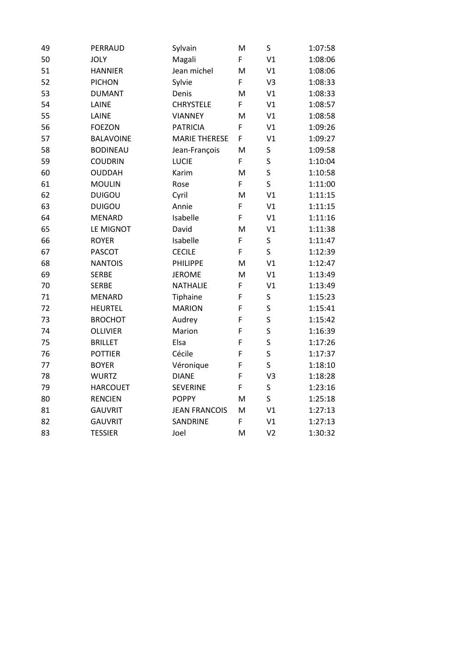| 49 | PERRAUD          | Sylvain              | M  | $\sf S$                 | 1:07:58 |
|----|------------------|----------------------|----|-------------------------|---------|
| 50 | <b>JOLY</b>      | Magali               | F. | V <sub>1</sub>          | 1:08:06 |
| 51 | <b>HANNIER</b>   | Jean michel          | M  | V1                      | 1:08:06 |
| 52 | <b>PICHON</b>    | Sylvie               | F  | V <sub>3</sub>          | 1:08:33 |
| 53 | <b>DUMANT</b>    | Denis                | M  | V1                      | 1:08:33 |
| 54 | LAINE            | <b>CHRYSTELE</b>     | F  | V1                      | 1:08:57 |
| 55 | LAINE            | <b>VIANNEY</b>       | M  | V1                      | 1:08:58 |
| 56 | <b>FOEZON</b>    | <b>PATRICIA</b>      | F  | V1                      | 1:09:26 |
| 57 | <b>BALAVOINE</b> | <b>MARIE THERESE</b> | F  | V1                      | 1:09:27 |
| 58 | <b>BODINEAU</b>  | Jean-François        | M  | S                       | 1:09:58 |
| 59 | <b>COUDRIN</b>   | LUCIE                | F  | S                       | 1:10:04 |
| 60 | <b>OUDDAH</b>    | Karim                | M  | S                       | 1:10:58 |
| 61 | <b>MOULIN</b>    | Rose                 | F  | S                       | 1:11:00 |
| 62 | <b>DUIGOU</b>    | Cyril                | M  | V1                      | 1:11:15 |
| 63 | <b>DUIGOU</b>    | Annie                | F  | V1                      | 1:11:15 |
| 64 | <b>MENARD</b>    | Isabelle             | F. | V1                      | 1:11:16 |
| 65 | LE MIGNOT        | David                | M  | V1                      | 1:11:38 |
| 66 | <b>ROYER</b>     | Isabelle             | F  | S                       | 1:11:47 |
| 67 | <b>PASCOT</b>    | <b>CECILE</b>        | F. | S                       | 1:12:39 |
| 68 | <b>NANTOIS</b>   | PHILIPPE             | M  | V <sub>1</sub>          | 1:12:47 |
| 69 | <b>SERBE</b>     | <b>JEROME</b>        | M  | V1                      | 1:13:49 |
| 70 | <b>SERBE</b>     | NATHALIE             | F  | V1                      | 1:13:49 |
| 71 | <b>MENARD</b>    | Tiphaine             | F  | S                       | 1:15:23 |
| 72 | <b>HEURTEL</b>   | <b>MARION</b>        | F  | S                       | 1:15:41 |
| 73 | <b>BROCHOT</b>   | Audrey               | F  | S                       | 1:15:42 |
| 74 | <b>OLLIVIER</b>  | Marion               | F  | S                       | 1:16:39 |
| 75 | <b>BRILLET</b>   | Elsa                 | F  | S                       | 1:17:26 |
| 76 | <b>POTTIER</b>   | Cécile               | F  | $\overline{\mathsf{S}}$ | 1:17:37 |
| 77 | <b>BOYER</b>     | Véronique            | F  | S                       | 1:18:10 |
| 78 | <b>WURTZ</b>     | <b>DIANE</b>         | F  | V3                      | 1:18:28 |
| 79 | <b>HARCOUET</b>  | <b>SEVERINE</b>      | F  | S                       | 1:23:16 |
| 80 | <b>RENCIEN</b>   | <b>POPPY</b>         | M  | S                       | 1:25:18 |
| 81 | <b>GAUVRIT</b>   | <b>JEAN FRANCOIS</b> | M  | V1                      | 1:27:13 |
| 82 | <b>GAUVRIT</b>   | SANDRINE             | F. | V1                      | 1:27:13 |
| 83 | <b>TESSIER</b>   | Joel                 | M  | V <sub>2</sub>          | 1:30:32 |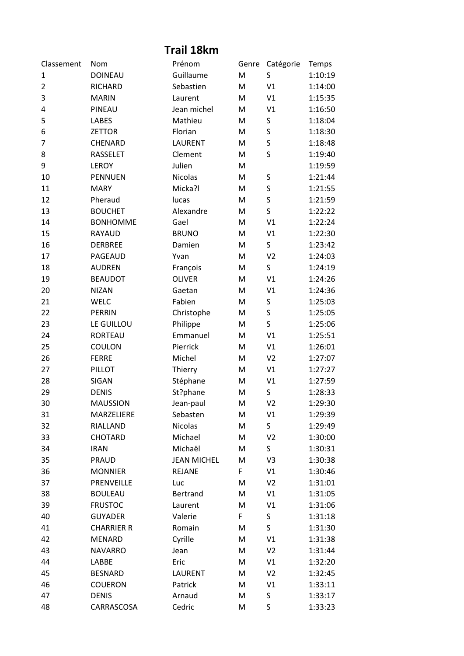## **Trail 18km**

| Classement     | Nom               | Prénom             | Genre | Catégorie      | Temps   |
|----------------|-------------------|--------------------|-------|----------------|---------|
| 1              | <b>DOINEAU</b>    | Guillaume          | M     | S              | 1:10:19 |
| $\overline{2}$ | RICHARD           | Sebastien          | M     | V <sub>1</sub> | 1:14:00 |
| 3              | <b>MARIN</b>      | Laurent            | M     | V1             | 1:15:35 |
| 4              | PINEAU            | Jean michel        | M     | V <sub>1</sub> | 1:16:50 |
| 5              | <b>LABES</b>      | Mathieu            | M     | S              | 1:18:04 |
| 6              | <b>ZETTOR</b>     | Florian            | M     | S              | 1:18:30 |
| 7              | CHENARD           | <b>LAURENT</b>     | M     | S              | 1:18:48 |
| 8              | <b>RASSELET</b>   | Clement            | M     | S              | 1:19:40 |
| 9              | <b>LEROY</b>      | Julien             | M     |                | 1:19:59 |
| 10             | <b>PENNUEN</b>    | <b>Nicolas</b>     | M     | S              | 1:21:44 |
| 11             | <b>MARY</b>       | Micka?l            | M     | S              | 1:21:55 |
| 12             | Pheraud           | lucas              | M     | S              | 1:21:59 |
| 13             | <b>BOUCHET</b>    | Alexandre          | M     | S              | 1:22:22 |
| 14             | <b>BONHOMME</b>   | Gael               | M     | V <sub>1</sub> | 1:22:24 |
| 15             | <b>RAYAUD</b>     | <b>BRUNO</b>       | M     | V1             | 1:22:30 |
| 16             | <b>DERBREE</b>    | Damien             | M     | S              | 1:23:42 |
| 17             | PAGEAUD           | Yvan               | M     | V <sub>2</sub> | 1:24:03 |
| 18             | <b>AUDREN</b>     | François           | M     | S              | 1:24:19 |
| 19             | <b>BEAUDOT</b>    | <b>OLIVER</b>      | M     | V <sub>1</sub> | 1:24:26 |
| 20             | <b>NIZAN</b>      | Gaetan             | M     | V1             | 1:24:36 |
| 21             | <b>WELC</b>       | Fabien             | M     | S              | 1:25:03 |
| 22             | <b>PERRIN</b>     | Christophe         | M     | S              | 1:25:05 |
| 23             | LE GUILLOU        | Philippe           | M     | S              | 1:25:06 |
| 24             | <b>RORTEAU</b>    | Emmanuel           | M     | V <sub>1</sub> | 1:25:51 |
| 25             | COULON            | Pierrick           | M     | V1             | 1:26:01 |
| 26             | <b>FERRE</b>      | Michel             | M     | V <sub>2</sub> | 1:27:07 |
| 27             | PILLOT            | Thierry            | M     | V1             | 1:27:27 |
| 28             | SIGAN             | Stéphane           | M     | V1             | 1:27:59 |
| 29             | <b>DENIS</b>      | St?phane           | M     | S              | 1:28:33 |
| 30             | <b>MAUSSION</b>   | Jean-paul          | M     | V <sub>2</sub> | 1:29:30 |
| 31             | MARZELIERE        | Sebasten           | M     | V1             | 1:29:39 |
| 32             | RIALLAND          | <b>Nicolas</b>     | M     | S              | 1:29:49 |
| 33             | CHOTARD           | Michael            | M     | V <sub>2</sub> | 1:30:00 |
| 34             | <b>IRAN</b>       | Michaël            | M     | S              | 1:30:31 |
| 35             | <b>PRAUD</b>      | <b>JEAN MICHEL</b> | M     | V3             | 1:30:38 |
| 36             | <b>MONNIER</b>    | <b>REJANE</b>      | F     | V1             | 1:30:46 |
| 37             | PRENVEILLE        | Luc                | M     | V <sub>2</sub> | 1:31:01 |
| 38             | <b>BOULEAU</b>    | Bertrand           | M     | V1             | 1:31:05 |
| 39             | <b>FRUSTOC</b>    | Laurent            | M     | V1             | 1:31:06 |
| 40             | <b>GUYADER</b>    | Valerie            | F     | S              | 1:31:18 |
| 41             | <b>CHARRIER R</b> | Romain             | M     | S              | 1:31:30 |
| 42             | <b>MENARD</b>     | Cyrille            | M     | V1             | 1:31:38 |
| 43             | <b>NAVARRO</b>    | Jean               | M     | V <sub>2</sub> | 1:31:44 |
| 44             | LABBE             | Eric               | M     | V1             | 1:32:20 |
| 45             | <b>BESNARD</b>    | LAURENT            | M     | V <sub>2</sub> | 1:32:45 |
| 46             | <b>COUERON</b>    | Patrick            | M     | V1             | 1:33:11 |
| 47             | <b>DENIS</b>      | Arnaud             | M     | S              | 1:33:17 |
| 48             | CARRASCOSA        | Cedric             | M     | S              | 1:33:23 |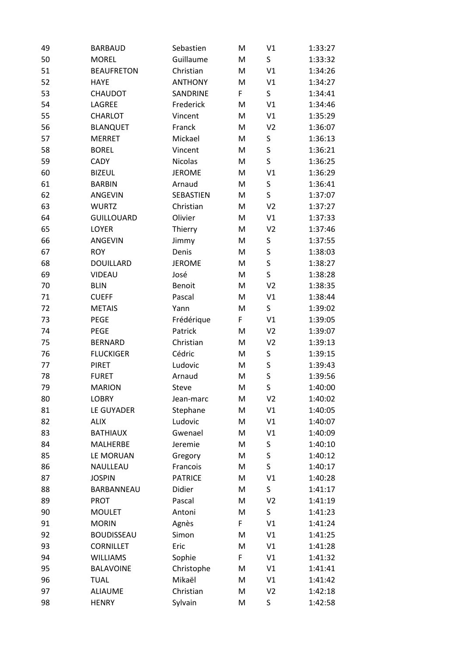| 49 | <b>BARBAUD</b>    | Sebastien      | M | V1             | 1:33:27 |
|----|-------------------|----------------|---|----------------|---------|
| 50 | <b>MOREL</b>      | Guillaume      | M | S              | 1:33:32 |
| 51 | <b>BEAUFRETON</b> | Christian      | M | V1             | 1:34:26 |
| 52 | <b>HAYE</b>       | <b>ANTHONY</b> | M | V1             | 1:34:27 |
| 53 | CHAUDOT           | SANDRINE       | F | S              | 1:34:41 |
| 54 | LAGREE            | Frederick      | M | V1             | 1:34:46 |
| 55 | CHARLOT           | Vincent        | M | V1             | 1:35:29 |
| 56 | <b>BLANQUET</b>   | Franck         | M | V <sub>2</sub> | 1:36:07 |
| 57 | <b>MERRET</b>     | Mickael        | M | S              | 1:36:13 |
| 58 | <b>BOREL</b>      | Vincent        | M | S              | 1:36:21 |
| 59 | <b>CADY</b>       | <b>Nicolas</b> | M | S              | 1:36:25 |
| 60 | <b>BIZEUL</b>     | <b>JEROME</b>  | M | V1             | 1:36:29 |
| 61 | <b>BARBIN</b>     | Arnaud         | M | S              | 1:36:41 |
| 62 | ANGEVIN           | SEBASTIEN      | M | S              | 1:37:07 |
| 63 | <b>WURTZ</b>      | Christian      | M | V <sub>2</sub> | 1:37:27 |
| 64 | <b>GUILLOUARD</b> | Olivier        | M | V1             | 1:37:33 |
| 65 | LOYER             | Thierry        | M | V <sub>2</sub> | 1:37:46 |
| 66 | ANGEVIN           | Jimmy          | M | S              | 1:37:55 |
| 67 | <b>ROY</b>        | Denis          | M | S              | 1:38:03 |
| 68 | <b>DOUILLARD</b>  | <b>JEROME</b>  | M | S              | 1:38:27 |
| 69 | VIDEAU            | José           | M | S              | 1:38:28 |
| 70 | <b>BLIN</b>       | Benoit         | M | V <sub>2</sub> | 1:38:35 |
| 71 | <b>CUEFF</b>      | Pascal         | M | V1             | 1:38:44 |
| 72 | <b>METAIS</b>     | Yann           | M | S              | 1:39:02 |
| 73 | <b>PEGE</b>       | Frédérique     | F | V1             | 1:39:05 |
| 74 | <b>PEGE</b>       | Patrick        | M | V <sub>2</sub> | 1:39:07 |
| 75 | <b>BERNARD</b>    | Christian      | M | V <sub>2</sub> | 1:39:13 |
| 76 | <b>FLUCKIGER</b>  | Cédric         | M | S              | 1:39:15 |
| 77 | <b>PIRET</b>      | Ludovic        | M | S              | 1:39:43 |
| 78 | <b>FURET</b>      | Arnaud         | M | S              | 1:39:56 |
| 79 | <b>MARION</b>     | Steve          | M | S              | 1:40:00 |
| 80 | <b>LOBRY</b>      | Jean-marc      | M | V <sub>2</sub> | 1:40:02 |
| 81 | LE GUYADER        | Stephane       | M | V1             | 1:40:05 |
| 82 | <b>ALIX</b>       | Ludovic        | Μ | V1             | 1:40:07 |
| 83 | <b>BATHIAUX</b>   | Gwenael        | M | V1             | 1:40:09 |
| 84 | MALHERBE          | Jeremie        | M | S              | 1:40:10 |
| 85 | LE MORUAN         | Gregory        | M | S              | 1:40:12 |
| 86 | NAULLEAU          | Francois       | M | S              | 1:40:17 |
| 87 | <b>JOSPIN</b>     | <b>PATRICE</b> | M | V1             | 1:40:28 |
| 88 | BARBANNEAU        | Didier         | M | S              | 1:41:17 |
| 89 | <b>PROT</b>       | Pascal         | Μ | V <sub>2</sub> | 1:41:19 |
| 90 | <b>MOULET</b>     | Antoni         | M | S              | 1:41:23 |
| 91 | <b>MORIN</b>      | Agnès          | F | V1             | 1:41:24 |
| 92 | <b>BOUDISSEAU</b> | Simon          | M | V1             | 1:41:25 |
| 93 | <b>CORNILLET</b>  | Eric           | M | V1             | 1:41:28 |
| 94 | <b>WILLIAMS</b>   | Sophie         | F | V1             | 1:41:32 |
| 95 | <b>BALAVOINE</b>  | Christophe     | M | V1             | 1:41:41 |
| 96 | <b>TUAL</b>       | Mikaël         | M | V1             | 1:41:42 |
| 97 | <b>ALIAUME</b>    | Christian      | M | V <sub>2</sub> | 1:42:18 |
| 98 | <b>HENRY</b>      | Sylvain        | M | S              | 1:42:58 |
|    |                   |                |   |                |         |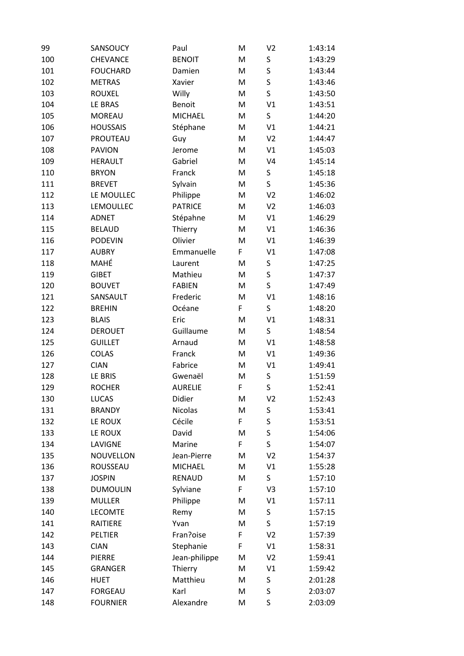| S<br>100<br>CHEVANCE<br><b>BENOIT</b><br>M<br>1:43:29<br>S<br>101<br><b>FOUCHARD</b><br>M<br>1:43:44<br>Damien<br>S<br>102<br><b>METRAS</b><br>Xavier<br>M<br>1:43:46<br>$\mathsf S$<br>103<br><b>ROUXEL</b><br>Willy<br>M<br>1:43:50<br>V <sub>1</sub><br>104<br>LE BRAS<br><b>Benoit</b><br>1:43:51<br>M<br>S<br>105<br><b>MOREAU</b><br><b>MICHAEL</b><br>M<br>1:44:20<br>V1<br>106<br><b>HOUSSAIS</b><br>Stéphane<br>1:44:21<br>M<br>107<br>PROUTEAU<br>V <sub>2</sub><br>M<br>1:44:47<br>Guy<br>V1<br>108<br><b>PAVION</b><br>M<br>1:45:03<br>Jerome<br>109<br><b>HERAULT</b><br>Gabriel<br>M<br>V <sub>4</sub><br>1:45:14<br>110<br>S<br><b>BRYON</b><br>Franck<br>M<br>1:45:18<br>S<br>111<br>Sylvain<br>1:45:36<br><b>BREVET</b><br>M<br>112<br>LE MOULLEC<br>V <sub>2</sub><br>1:46:02<br>Philippe<br>M<br>113<br>LEMOULLEC<br><b>PATRICE</b><br>V <sub>2</sub><br>1:46:03<br>M<br>114<br><b>ADNET</b><br>Stépahne<br>M<br>V1<br>1:46:29<br>115<br>V1<br><b>BELAUD</b><br>Thierry<br>M<br>1:46:36<br>Olivier<br>1:46:39<br>116<br><b>PODEVIN</b><br>M<br>V1<br>117<br>F<br>V1<br>1:47:08<br><b>AUBRY</b><br>Emmanuelle<br>MAHÉ<br>S<br>118<br>1:47:25<br>M<br>Laurent<br>S<br>119<br><b>GIBET</b><br>Mathieu<br>M<br>1:47:37<br>S<br>120<br><b>BOUVET</b><br><b>FABIEN</b><br>M<br>1:47:49<br>V1<br>121<br>SANSAULT<br>Frederic<br>M<br>1:48:16<br>S<br>F<br>122<br><b>BREHIN</b><br>Océane<br>1:48:20<br>V <sub>1</sub><br>123<br><b>BLAIS</b><br>Eric<br>M<br>1:48:31<br>124<br>Guillaume<br>S<br><b>DEROUET</b><br>M<br>1:48:54<br>V1<br>125<br><b>GUILLET</b><br>1:48:58<br>Arnaud<br>M<br>126<br>V1<br>COLAS<br>Franck<br>M<br>1:49:36<br>127<br><b>CIAN</b><br>Fabrice<br>V1<br>1:49:41<br>M<br>128<br>LE BRIS<br>M<br>S<br>1:51:59<br>Gwenaël<br>S<br>F<br>129<br><b>ROCHER</b><br><b>AURELIE</b><br>1:52:41<br>Didier<br>1:52:43<br>130<br><b>LUCAS</b><br>M<br>V <sub>2</sub><br><b>Nicolas</b><br>S<br>131<br><b>BRANDY</b><br>M<br>1:53:41<br>S<br>F<br>Cécile<br>132<br>LE ROUX<br>1:53:51<br>S<br>133<br>LE ROUX<br>David<br>M<br>1:54:06<br>$\mathsf S$<br>F<br>134<br>LAVIGNE<br>Marine<br>1:54:07<br>135<br>NOUVELLON<br>Jean-Pierre<br>V <sub>2</sub><br>M<br>1:54:37<br>V1<br>136<br>ROUSSEAU<br><b>MICHAEL</b><br>M<br>1:55:28<br>S<br>137<br><b>JOSPIN</b><br><b>RENAUD</b><br>M<br>1:57:10<br>V3<br>138<br><b>DUMOULIN</b><br>Sylviane<br>F<br>1:57:10<br>139<br><b>MULLER</b><br>Philippe<br>V1<br>M<br>1:57:11<br>140<br><b>LECOMTE</b><br>Remy<br>M<br>S<br>1:57:15<br>S<br>141<br>RAITIERE<br>Yvan<br>M<br>1:57:19<br>Fran?oise<br>142<br>PELTIER<br>F<br>V <sub>2</sub><br>1:57:39<br>143<br>F<br>V1<br><b>CIAN</b><br>Stephanie<br>1:58:31<br>144<br>Jean-philippe<br>V <sub>2</sub><br><b>PIERRE</b><br>M<br>1:59:41<br>145<br>Thierry<br>V1<br><b>GRANGER</b><br>M<br>1:59:42<br>S<br>146<br>Matthieu<br><b>HUET</b><br>M<br>2:01:28<br>S<br>147<br><b>FORGEAU</b><br>Karl<br>2:03:07<br>M | 99  | SANSOUCY        | Paul      | M | V <sub>2</sub> | 1:43:14 |
|----------------------------------------------------------------------------------------------------------------------------------------------------------------------------------------------------------------------------------------------------------------------------------------------------------------------------------------------------------------------------------------------------------------------------------------------------------------------------------------------------------------------------------------------------------------------------------------------------------------------------------------------------------------------------------------------------------------------------------------------------------------------------------------------------------------------------------------------------------------------------------------------------------------------------------------------------------------------------------------------------------------------------------------------------------------------------------------------------------------------------------------------------------------------------------------------------------------------------------------------------------------------------------------------------------------------------------------------------------------------------------------------------------------------------------------------------------------------------------------------------------------------------------------------------------------------------------------------------------------------------------------------------------------------------------------------------------------------------------------------------------------------------------------------------------------------------------------------------------------------------------------------------------------------------------------------------------------------------------------------------------------------------------------------------------------------------------------------------------------------------------------------------------------------------------------------------------------------------------------------------------------------------------------------------------------------------------------------------------------------------------------------------------------------------------------------------------------------------------------------------------------------------------------------------------------------------------------------------------------------------------------------------------------------------------------------------------------------------------------------------------------------------------------------------------------------------------------------------------------------------------------------------------------------------------|-----|-----------------|-----------|---|----------------|---------|
|                                                                                                                                                                                                                                                                                                                                                                                                                                                                                                                                                                                                                                                                                                                                                                                                                                                                                                                                                                                                                                                                                                                                                                                                                                                                                                                                                                                                                                                                                                                                                                                                                                                                                                                                                                                                                                                                                                                                                                                                                                                                                                                                                                                                                                                                                                                                                                                                                                                                                                                                                                                                                                                                                                                                                                                                                                                                                                                                  |     |                 |           |   |                |         |
|                                                                                                                                                                                                                                                                                                                                                                                                                                                                                                                                                                                                                                                                                                                                                                                                                                                                                                                                                                                                                                                                                                                                                                                                                                                                                                                                                                                                                                                                                                                                                                                                                                                                                                                                                                                                                                                                                                                                                                                                                                                                                                                                                                                                                                                                                                                                                                                                                                                                                                                                                                                                                                                                                                                                                                                                                                                                                                                                  |     |                 |           |   |                |         |
|                                                                                                                                                                                                                                                                                                                                                                                                                                                                                                                                                                                                                                                                                                                                                                                                                                                                                                                                                                                                                                                                                                                                                                                                                                                                                                                                                                                                                                                                                                                                                                                                                                                                                                                                                                                                                                                                                                                                                                                                                                                                                                                                                                                                                                                                                                                                                                                                                                                                                                                                                                                                                                                                                                                                                                                                                                                                                                                                  |     |                 |           |   |                |         |
|                                                                                                                                                                                                                                                                                                                                                                                                                                                                                                                                                                                                                                                                                                                                                                                                                                                                                                                                                                                                                                                                                                                                                                                                                                                                                                                                                                                                                                                                                                                                                                                                                                                                                                                                                                                                                                                                                                                                                                                                                                                                                                                                                                                                                                                                                                                                                                                                                                                                                                                                                                                                                                                                                                                                                                                                                                                                                                                                  |     |                 |           |   |                |         |
|                                                                                                                                                                                                                                                                                                                                                                                                                                                                                                                                                                                                                                                                                                                                                                                                                                                                                                                                                                                                                                                                                                                                                                                                                                                                                                                                                                                                                                                                                                                                                                                                                                                                                                                                                                                                                                                                                                                                                                                                                                                                                                                                                                                                                                                                                                                                                                                                                                                                                                                                                                                                                                                                                                                                                                                                                                                                                                                                  |     |                 |           |   |                |         |
|                                                                                                                                                                                                                                                                                                                                                                                                                                                                                                                                                                                                                                                                                                                                                                                                                                                                                                                                                                                                                                                                                                                                                                                                                                                                                                                                                                                                                                                                                                                                                                                                                                                                                                                                                                                                                                                                                                                                                                                                                                                                                                                                                                                                                                                                                                                                                                                                                                                                                                                                                                                                                                                                                                                                                                                                                                                                                                                                  |     |                 |           |   |                |         |
|                                                                                                                                                                                                                                                                                                                                                                                                                                                                                                                                                                                                                                                                                                                                                                                                                                                                                                                                                                                                                                                                                                                                                                                                                                                                                                                                                                                                                                                                                                                                                                                                                                                                                                                                                                                                                                                                                                                                                                                                                                                                                                                                                                                                                                                                                                                                                                                                                                                                                                                                                                                                                                                                                                                                                                                                                                                                                                                                  |     |                 |           |   |                |         |
|                                                                                                                                                                                                                                                                                                                                                                                                                                                                                                                                                                                                                                                                                                                                                                                                                                                                                                                                                                                                                                                                                                                                                                                                                                                                                                                                                                                                                                                                                                                                                                                                                                                                                                                                                                                                                                                                                                                                                                                                                                                                                                                                                                                                                                                                                                                                                                                                                                                                                                                                                                                                                                                                                                                                                                                                                                                                                                                                  |     |                 |           |   |                |         |
|                                                                                                                                                                                                                                                                                                                                                                                                                                                                                                                                                                                                                                                                                                                                                                                                                                                                                                                                                                                                                                                                                                                                                                                                                                                                                                                                                                                                                                                                                                                                                                                                                                                                                                                                                                                                                                                                                                                                                                                                                                                                                                                                                                                                                                                                                                                                                                                                                                                                                                                                                                                                                                                                                                                                                                                                                                                                                                                                  |     |                 |           |   |                |         |
|                                                                                                                                                                                                                                                                                                                                                                                                                                                                                                                                                                                                                                                                                                                                                                                                                                                                                                                                                                                                                                                                                                                                                                                                                                                                                                                                                                                                                                                                                                                                                                                                                                                                                                                                                                                                                                                                                                                                                                                                                                                                                                                                                                                                                                                                                                                                                                                                                                                                                                                                                                                                                                                                                                                                                                                                                                                                                                                                  |     |                 |           |   |                |         |
|                                                                                                                                                                                                                                                                                                                                                                                                                                                                                                                                                                                                                                                                                                                                                                                                                                                                                                                                                                                                                                                                                                                                                                                                                                                                                                                                                                                                                                                                                                                                                                                                                                                                                                                                                                                                                                                                                                                                                                                                                                                                                                                                                                                                                                                                                                                                                                                                                                                                                                                                                                                                                                                                                                                                                                                                                                                                                                                                  |     |                 |           |   |                |         |
|                                                                                                                                                                                                                                                                                                                                                                                                                                                                                                                                                                                                                                                                                                                                                                                                                                                                                                                                                                                                                                                                                                                                                                                                                                                                                                                                                                                                                                                                                                                                                                                                                                                                                                                                                                                                                                                                                                                                                                                                                                                                                                                                                                                                                                                                                                                                                                                                                                                                                                                                                                                                                                                                                                                                                                                                                                                                                                                                  |     |                 |           |   |                |         |
|                                                                                                                                                                                                                                                                                                                                                                                                                                                                                                                                                                                                                                                                                                                                                                                                                                                                                                                                                                                                                                                                                                                                                                                                                                                                                                                                                                                                                                                                                                                                                                                                                                                                                                                                                                                                                                                                                                                                                                                                                                                                                                                                                                                                                                                                                                                                                                                                                                                                                                                                                                                                                                                                                                                                                                                                                                                                                                                                  |     |                 |           |   |                |         |
|                                                                                                                                                                                                                                                                                                                                                                                                                                                                                                                                                                                                                                                                                                                                                                                                                                                                                                                                                                                                                                                                                                                                                                                                                                                                                                                                                                                                                                                                                                                                                                                                                                                                                                                                                                                                                                                                                                                                                                                                                                                                                                                                                                                                                                                                                                                                                                                                                                                                                                                                                                                                                                                                                                                                                                                                                                                                                                                                  |     |                 |           |   |                |         |
|                                                                                                                                                                                                                                                                                                                                                                                                                                                                                                                                                                                                                                                                                                                                                                                                                                                                                                                                                                                                                                                                                                                                                                                                                                                                                                                                                                                                                                                                                                                                                                                                                                                                                                                                                                                                                                                                                                                                                                                                                                                                                                                                                                                                                                                                                                                                                                                                                                                                                                                                                                                                                                                                                                                                                                                                                                                                                                                                  |     |                 |           |   |                |         |
|                                                                                                                                                                                                                                                                                                                                                                                                                                                                                                                                                                                                                                                                                                                                                                                                                                                                                                                                                                                                                                                                                                                                                                                                                                                                                                                                                                                                                                                                                                                                                                                                                                                                                                                                                                                                                                                                                                                                                                                                                                                                                                                                                                                                                                                                                                                                                                                                                                                                                                                                                                                                                                                                                                                                                                                                                                                                                                                                  |     |                 |           |   |                |         |
|                                                                                                                                                                                                                                                                                                                                                                                                                                                                                                                                                                                                                                                                                                                                                                                                                                                                                                                                                                                                                                                                                                                                                                                                                                                                                                                                                                                                                                                                                                                                                                                                                                                                                                                                                                                                                                                                                                                                                                                                                                                                                                                                                                                                                                                                                                                                                                                                                                                                                                                                                                                                                                                                                                                                                                                                                                                                                                                                  |     |                 |           |   |                |         |
|                                                                                                                                                                                                                                                                                                                                                                                                                                                                                                                                                                                                                                                                                                                                                                                                                                                                                                                                                                                                                                                                                                                                                                                                                                                                                                                                                                                                                                                                                                                                                                                                                                                                                                                                                                                                                                                                                                                                                                                                                                                                                                                                                                                                                                                                                                                                                                                                                                                                                                                                                                                                                                                                                                                                                                                                                                                                                                                                  |     |                 |           |   |                |         |
|                                                                                                                                                                                                                                                                                                                                                                                                                                                                                                                                                                                                                                                                                                                                                                                                                                                                                                                                                                                                                                                                                                                                                                                                                                                                                                                                                                                                                                                                                                                                                                                                                                                                                                                                                                                                                                                                                                                                                                                                                                                                                                                                                                                                                                                                                                                                                                                                                                                                                                                                                                                                                                                                                                                                                                                                                                                                                                                                  |     |                 |           |   |                |         |
|                                                                                                                                                                                                                                                                                                                                                                                                                                                                                                                                                                                                                                                                                                                                                                                                                                                                                                                                                                                                                                                                                                                                                                                                                                                                                                                                                                                                                                                                                                                                                                                                                                                                                                                                                                                                                                                                                                                                                                                                                                                                                                                                                                                                                                                                                                                                                                                                                                                                                                                                                                                                                                                                                                                                                                                                                                                                                                                                  |     |                 |           |   |                |         |
|                                                                                                                                                                                                                                                                                                                                                                                                                                                                                                                                                                                                                                                                                                                                                                                                                                                                                                                                                                                                                                                                                                                                                                                                                                                                                                                                                                                                                                                                                                                                                                                                                                                                                                                                                                                                                                                                                                                                                                                                                                                                                                                                                                                                                                                                                                                                                                                                                                                                                                                                                                                                                                                                                                                                                                                                                                                                                                                                  |     |                 |           |   |                |         |
|                                                                                                                                                                                                                                                                                                                                                                                                                                                                                                                                                                                                                                                                                                                                                                                                                                                                                                                                                                                                                                                                                                                                                                                                                                                                                                                                                                                                                                                                                                                                                                                                                                                                                                                                                                                                                                                                                                                                                                                                                                                                                                                                                                                                                                                                                                                                                                                                                                                                                                                                                                                                                                                                                                                                                                                                                                                                                                                                  |     |                 |           |   |                |         |
|                                                                                                                                                                                                                                                                                                                                                                                                                                                                                                                                                                                                                                                                                                                                                                                                                                                                                                                                                                                                                                                                                                                                                                                                                                                                                                                                                                                                                                                                                                                                                                                                                                                                                                                                                                                                                                                                                                                                                                                                                                                                                                                                                                                                                                                                                                                                                                                                                                                                                                                                                                                                                                                                                                                                                                                                                                                                                                                                  |     |                 |           |   |                |         |
|                                                                                                                                                                                                                                                                                                                                                                                                                                                                                                                                                                                                                                                                                                                                                                                                                                                                                                                                                                                                                                                                                                                                                                                                                                                                                                                                                                                                                                                                                                                                                                                                                                                                                                                                                                                                                                                                                                                                                                                                                                                                                                                                                                                                                                                                                                                                                                                                                                                                                                                                                                                                                                                                                                                                                                                                                                                                                                                                  |     |                 |           |   |                |         |
|                                                                                                                                                                                                                                                                                                                                                                                                                                                                                                                                                                                                                                                                                                                                                                                                                                                                                                                                                                                                                                                                                                                                                                                                                                                                                                                                                                                                                                                                                                                                                                                                                                                                                                                                                                                                                                                                                                                                                                                                                                                                                                                                                                                                                                                                                                                                                                                                                                                                                                                                                                                                                                                                                                                                                                                                                                                                                                                                  |     |                 |           |   |                |         |
|                                                                                                                                                                                                                                                                                                                                                                                                                                                                                                                                                                                                                                                                                                                                                                                                                                                                                                                                                                                                                                                                                                                                                                                                                                                                                                                                                                                                                                                                                                                                                                                                                                                                                                                                                                                                                                                                                                                                                                                                                                                                                                                                                                                                                                                                                                                                                                                                                                                                                                                                                                                                                                                                                                                                                                                                                                                                                                                                  |     |                 |           |   |                |         |
|                                                                                                                                                                                                                                                                                                                                                                                                                                                                                                                                                                                                                                                                                                                                                                                                                                                                                                                                                                                                                                                                                                                                                                                                                                                                                                                                                                                                                                                                                                                                                                                                                                                                                                                                                                                                                                                                                                                                                                                                                                                                                                                                                                                                                                                                                                                                                                                                                                                                                                                                                                                                                                                                                                                                                                                                                                                                                                                                  |     |                 |           |   |                |         |
|                                                                                                                                                                                                                                                                                                                                                                                                                                                                                                                                                                                                                                                                                                                                                                                                                                                                                                                                                                                                                                                                                                                                                                                                                                                                                                                                                                                                                                                                                                                                                                                                                                                                                                                                                                                                                                                                                                                                                                                                                                                                                                                                                                                                                                                                                                                                                                                                                                                                                                                                                                                                                                                                                                                                                                                                                                                                                                                                  |     |                 |           |   |                |         |
|                                                                                                                                                                                                                                                                                                                                                                                                                                                                                                                                                                                                                                                                                                                                                                                                                                                                                                                                                                                                                                                                                                                                                                                                                                                                                                                                                                                                                                                                                                                                                                                                                                                                                                                                                                                                                                                                                                                                                                                                                                                                                                                                                                                                                                                                                                                                                                                                                                                                                                                                                                                                                                                                                                                                                                                                                                                                                                                                  |     |                 |           |   |                |         |
|                                                                                                                                                                                                                                                                                                                                                                                                                                                                                                                                                                                                                                                                                                                                                                                                                                                                                                                                                                                                                                                                                                                                                                                                                                                                                                                                                                                                                                                                                                                                                                                                                                                                                                                                                                                                                                                                                                                                                                                                                                                                                                                                                                                                                                                                                                                                                                                                                                                                                                                                                                                                                                                                                                                                                                                                                                                                                                                                  |     |                 |           |   |                |         |
|                                                                                                                                                                                                                                                                                                                                                                                                                                                                                                                                                                                                                                                                                                                                                                                                                                                                                                                                                                                                                                                                                                                                                                                                                                                                                                                                                                                                                                                                                                                                                                                                                                                                                                                                                                                                                                                                                                                                                                                                                                                                                                                                                                                                                                                                                                                                                                                                                                                                                                                                                                                                                                                                                                                                                                                                                                                                                                                                  |     |                 |           |   |                |         |
|                                                                                                                                                                                                                                                                                                                                                                                                                                                                                                                                                                                                                                                                                                                                                                                                                                                                                                                                                                                                                                                                                                                                                                                                                                                                                                                                                                                                                                                                                                                                                                                                                                                                                                                                                                                                                                                                                                                                                                                                                                                                                                                                                                                                                                                                                                                                                                                                                                                                                                                                                                                                                                                                                                                                                                                                                                                                                                                                  |     |                 |           |   |                |         |
|                                                                                                                                                                                                                                                                                                                                                                                                                                                                                                                                                                                                                                                                                                                                                                                                                                                                                                                                                                                                                                                                                                                                                                                                                                                                                                                                                                                                                                                                                                                                                                                                                                                                                                                                                                                                                                                                                                                                                                                                                                                                                                                                                                                                                                                                                                                                                                                                                                                                                                                                                                                                                                                                                                                                                                                                                                                                                                                                  |     |                 |           |   |                |         |
|                                                                                                                                                                                                                                                                                                                                                                                                                                                                                                                                                                                                                                                                                                                                                                                                                                                                                                                                                                                                                                                                                                                                                                                                                                                                                                                                                                                                                                                                                                                                                                                                                                                                                                                                                                                                                                                                                                                                                                                                                                                                                                                                                                                                                                                                                                                                                                                                                                                                                                                                                                                                                                                                                                                                                                                                                                                                                                                                  |     |                 |           |   |                |         |
|                                                                                                                                                                                                                                                                                                                                                                                                                                                                                                                                                                                                                                                                                                                                                                                                                                                                                                                                                                                                                                                                                                                                                                                                                                                                                                                                                                                                                                                                                                                                                                                                                                                                                                                                                                                                                                                                                                                                                                                                                                                                                                                                                                                                                                                                                                                                                                                                                                                                                                                                                                                                                                                                                                                                                                                                                                                                                                                                  |     |                 |           |   |                |         |
|                                                                                                                                                                                                                                                                                                                                                                                                                                                                                                                                                                                                                                                                                                                                                                                                                                                                                                                                                                                                                                                                                                                                                                                                                                                                                                                                                                                                                                                                                                                                                                                                                                                                                                                                                                                                                                                                                                                                                                                                                                                                                                                                                                                                                                                                                                                                                                                                                                                                                                                                                                                                                                                                                                                                                                                                                                                                                                                                  |     |                 |           |   |                |         |
|                                                                                                                                                                                                                                                                                                                                                                                                                                                                                                                                                                                                                                                                                                                                                                                                                                                                                                                                                                                                                                                                                                                                                                                                                                                                                                                                                                                                                                                                                                                                                                                                                                                                                                                                                                                                                                                                                                                                                                                                                                                                                                                                                                                                                                                                                                                                                                                                                                                                                                                                                                                                                                                                                                                                                                                                                                                                                                                                  |     |                 |           |   |                |         |
|                                                                                                                                                                                                                                                                                                                                                                                                                                                                                                                                                                                                                                                                                                                                                                                                                                                                                                                                                                                                                                                                                                                                                                                                                                                                                                                                                                                                                                                                                                                                                                                                                                                                                                                                                                                                                                                                                                                                                                                                                                                                                                                                                                                                                                                                                                                                                                                                                                                                                                                                                                                                                                                                                                                                                                                                                                                                                                                                  |     |                 |           |   |                |         |
|                                                                                                                                                                                                                                                                                                                                                                                                                                                                                                                                                                                                                                                                                                                                                                                                                                                                                                                                                                                                                                                                                                                                                                                                                                                                                                                                                                                                                                                                                                                                                                                                                                                                                                                                                                                                                                                                                                                                                                                                                                                                                                                                                                                                                                                                                                                                                                                                                                                                                                                                                                                                                                                                                                                                                                                                                                                                                                                                  |     |                 |           |   |                |         |
|                                                                                                                                                                                                                                                                                                                                                                                                                                                                                                                                                                                                                                                                                                                                                                                                                                                                                                                                                                                                                                                                                                                                                                                                                                                                                                                                                                                                                                                                                                                                                                                                                                                                                                                                                                                                                                                                                                                                                                                                                                                                                                                                                                                                                                                                                                                                                                                                                                                                                                                                                                                                                                                                                                                                                                                                                                                                                                                                  |     |                 |           |   |                |         |
|                                                                                                                                                                                                                                                                                                                                                                                                                                                                                                                                                                                                                                                                                                                                                                                                                                                                                                                                                                                                                                                                                                                                                                                                                                                                                                                                                                                                                                                                                                                                                                                                                                                                                                                                                                                                                                                                                                                                                                                                                                                                                                                                                                                                                                                                                                                                                                                                                                                                                                                                                                                                                                                                                                                                                                                                                                                                                                                                  |     |                 |           |   |                |         |
|                                                                                                                                                                                                                                                                                                                                                                                                                                                                                                                                                                                                                                                                                                                                                                                                                                                                                                                                                                                                                                                                                                                                                                                                                                                                                                                                                                                                                                                                                                                                                                                                                                                                                                                                                                                                                                                                                                                                                                                                                                                                                                                                                                                                                                                                                                                                                                                                                                                                                                                                                                                                                                                                                                                                                                                                                                                                                                                                  |     |                 |           |   |                |         |
|                                                                                                                                                                                                                                                                                                                                                                                                                                                                                                                                                                                                                                                                                                                                                                                                                                                                                                                                                                                                                                                                                                                                                                                                                                                                                                                                                                                                                                                                                                                                                                                                                                                                                                                                                                                                                                                                                                                                                                                                                                                                                                                                                                                                                                                                                                                                                                                                                                                                                                                                                                                                                                                                                                                                                                                                                                                                                                                                  |     |                 |           |   |                |         |
|                                                                                                                                                                                                                                                                                                                                                                                                                                                                                                                                                                                                                                                                                                                                                                                                                                                                                                                                                                                                                                                                                                                                                                                                                                                                                                                                                                                                                                                                                                                                                                                                                                                                                                                                                                                                                                                                                                                                                                                                                                                                                                                                                                                                                                                                                                                                                                                                                                                                                                                                                                                                                                                                                                                                                                                                                                                                                                                                  |     |                 |           |   |                |         |
|                                                                                                                                                                                                                                                                                                                                                                                                                                                                                                                                                                                                                                                                                                                                                                                                                                                                                                                                                                                                                                                                                                                                                                                                                                                                                                                                                                                                                                                                                                                                                                                                                                                                                                                                                                                                                                                                                                                                                                                                                                                                                                                                                                                                                                                                                                                                                                                                                                                                                                                                                                                                                                                                                                                                                                                                                                                                                                                                  |     |                 |           |   |                |         |
|                                                                                                                                                                                                                                                                                                                                                                                                                                                                                                                                                                                                                                                                                                                                                                                                                                                                                                                                                                                                                                                                                                                                                                                                                                                                                                                                                                                                                                                                                                                                                                                                                                                                                                                                                                                                                                                                                                                                                                                                                                                                                                                                                                                                                                                                                                                                                                                                                                                                                                                                                                                                                                                                                                                                                                                                                                                                                                                                  |     |                 |           |   |                |         |
|                                                                                                                                                                                                                                                                                                                                                                                                                                                                                                                                                                                                                                                                                                                                                                                                                                                                                                                                                                                                                                                                                                                                                                                                                                                                                                                                                                                                                                                                                                                                                                                                                                                                                                                                                                                                                                                                                                                                                                                                                                                                                                                                                                                                                                                                                                                                                                                                                                                                                                                                                                                                                                                                                                                                                                                                                                                                                                                                  |     |                 |           |   |                |         |
|                                                                                                                                                                                                                                                                                                                                                                                                                                                                                                                                                                                                                                                                                                                                                                                                                                                                                                                                                                                                                                                                                                                                                                                                                                                                                                                                                                                                                                                                                                                                                                                                                                                                                                                                                                                                                                                                                                                                                                                                                                                                                                                                                                                                                                                                                                                                                                                                                                                                                                                                                                                                                                                                                                                                                                                                                                                                                                                                  |     |                 |           |   |                |         |
|                                                                                                                                                                                                                                                                                                                                                                                                                                                                                                                                                                                                                                                                                                                                                                                                                                                                                                                                                                                                                                                                                                                                                                                                                                                                                                                                                                                                                                                                                                                                                                                                                                                                                                                                                                                                                                                                                                                                                                                                                                                                                                                                                                                                                                                                                                                                                                                                                                                                                                                                                                                                                                                                                                                                                                                                                                                                                                                                  | 148 | <b>FOURNIER</b> | Alexandre | M | S              | 2:03:09 |